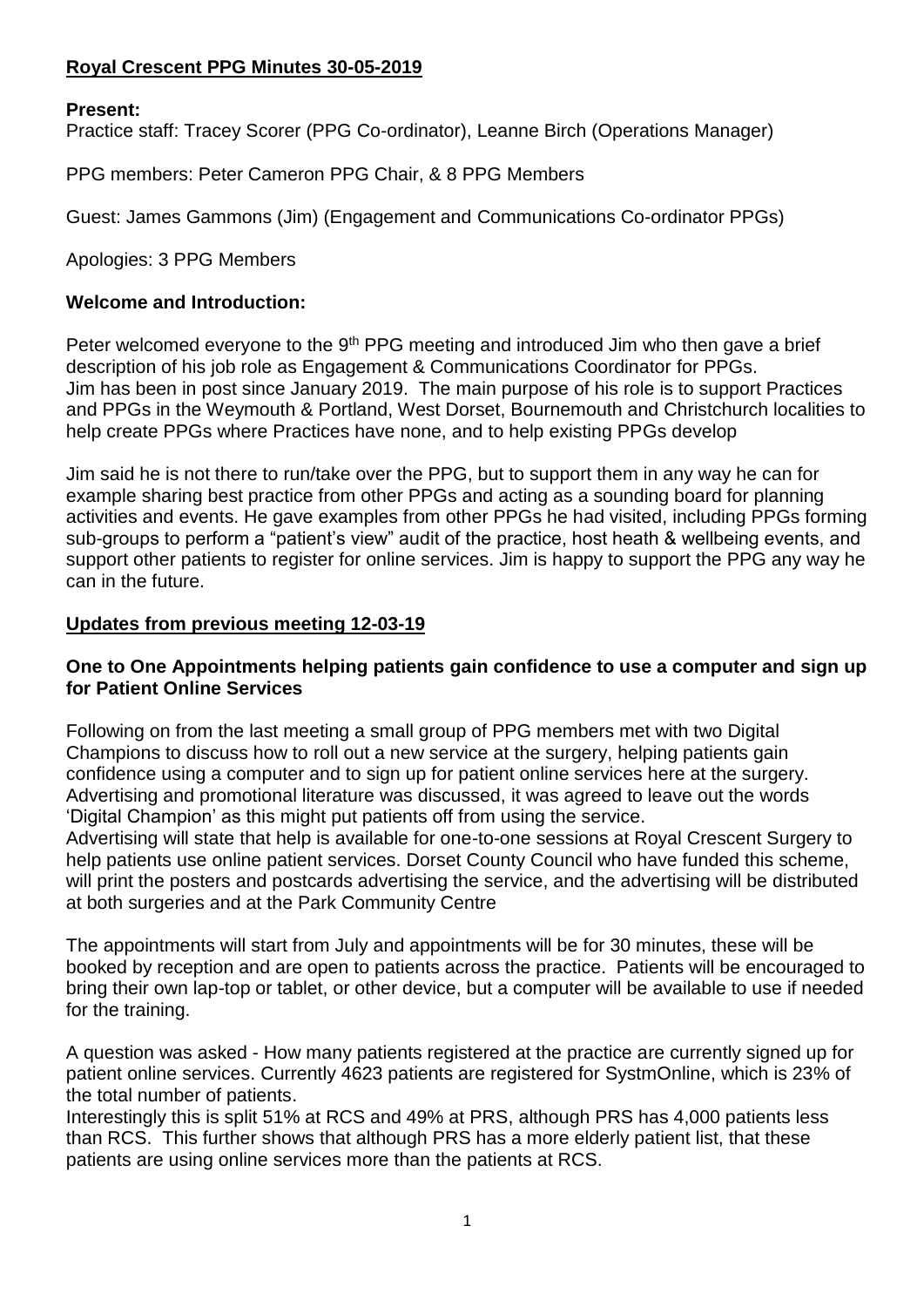# **Royal Crescent PPG Minutes 30-05-2019**

## **Present:**

Practice staff: Tracey Scorer (PPG Co-ordinator), Leanne Birch (Operations Manager)

PPG members: Peter Cameron PPG Chair, & 8 PPG Members

Guest: James Gammons (Jim) (Engagement and Communications Co-ordinator PPGs)

Apologies: 3 PPG Members

### **Welcome and Introduction:**

Peter welcomed everyone to the 9<sup>th</sup> PPG meeting and introduced Jim who then gave a brief description of his job role as Engagement & Communications Coordinator for PPGs. Jim has been in post since January 2019. The main purpose of his role is to support Practices and PPGs in the Weymouth & Portland, West Dorset, Bournemouth and Christchurch localities to help create PPGs where Practices have none, and to help existing PPGs develop

Jim said he is not there to run/take over the PPG, but to support them in any way he can for example sharing best practice from other PPGs and acting as a sounding board for planning activities and events. He gave examples from other PPGs he had visited, including PPGs forming sub-groups to perform a "patient's view" audit of the practice, host heath & wellbeing events, and support other patients to register for online services. Jim is happy to support the PPG any way he can in the future.

### **Updates from previous meeting 12-03-19**

### **One to One Appointments helping patients gain confidence to use a computer and sign up for Patient Online Services**

Following on from the last meeting a small group of PPG members met with two Digital Champions to discuss how to roll out a new service at the surgery, helping patients gain confidence using a computer and to sign up for patient online services here at the surgery. Advertising and promotional literature was discussed, it was agreed to leave out the words 'Digital Champion' as this might put patients off from using the service.

Advertising will state that help is available for one-to-one sessions at Royal Crescent Surgery to help patients use online patient services. Dorset County Council who have funded this scheme, will print the posters and postcards advertising the service, and the advertising will be distributed at both surgeries and at the Park Community Centre

The appointments will start from July and appointments will be for 30 minutes, these will be booked by reception and are open to patients across the practice. Patients will be encouraged to bring their own lap-top or tablet, or other device, but a computer will be available to use if needed for the training.

A question was asked - How many patients registered at the practice are currently signed up for patient online services. Currently 4623 patients are registered for SystmOnline, which is 23% of the total number of patients.

Interestingly this is split 51% at RCS and 49% at PRS, although PRS has 4,000 patients less than RCS. This further shows that although PRS has a more elderly patient list, that these patients are using online services more than the patients at RCS.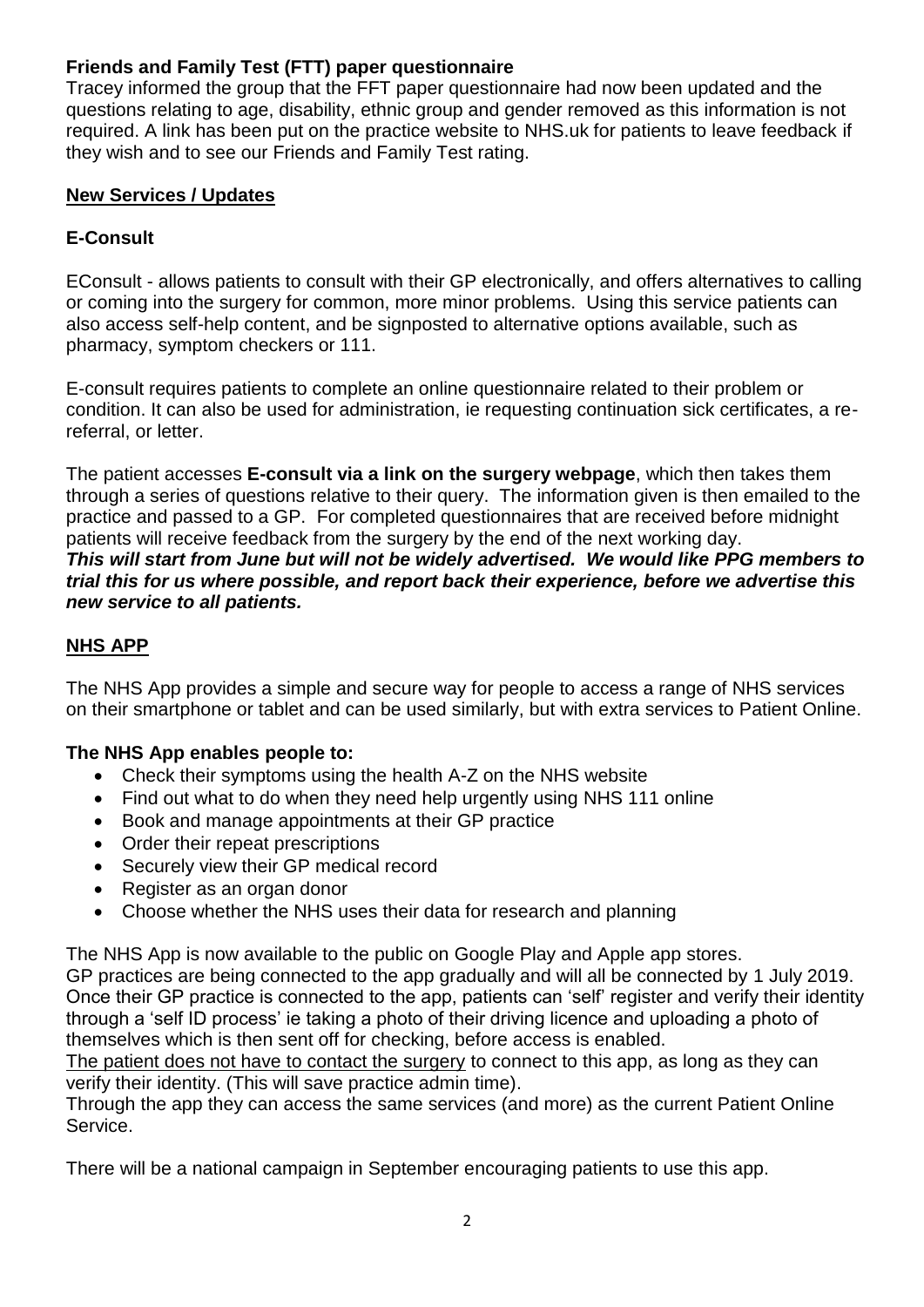# **Friends and Family Test (FTT) paper questionnaire**

Tracey informed the group that the FFT paper questionnaire had now been updated and the questions relating to age, disability, ethnic group and gender removed as this information is not required. A link has been put on the practice website to NHS.uk for patients to leave feedback if they wish and to see our Friends and Family Test rating.

# **New Services / Updates**

# **E-Consult**

EConsult - allows patients to consult with their GP electronically, and offers alternatives to calling or coming into the surgery for common, more minor problems. Using this service patients can also access self-help content, and be signposted to alternative options available, such as pharmacy, symptom checkers or 111.

E-consult requires patients to complete an online questionnaire related to their problem or condition. It can also be used for administration, ie requesting continuation sick certificates, a rereferral, or letter.

The patient accesses **E-consult via a link on the surgery webpage**, which then takes them through a series of questions relative to their query. The information given is then emailed to the practice and passed to a GP. For completed questionnaires that are received before midnight patients will receive feedback from the surgery by the end of the next working day. *This will start from June but will not be widely advertised. We would like PPG members to trial this for us where possible, and report back their experience, before we advertise this new service to all patients.*

# **NHS APP**

The NHS App provides a simple and secure way for people to access a range of NHS services on their smartphone or tablet and can be used similarly, but with extra services to Patient Online.

## **The NHS App enables people to:**

- Check their symptoms using the [health A-Z on the NHS website](https://www.nhs.uk/conditions/)
- Find out what to do when they need help urgently using [NHS 111 online](http://111.nhs.uk/)
- Book and manage appointments at their GP practice
- Order their repeat prescriptions
- Securely view their GP medical record
- [Register as an organ donor](https://www.organdonation.nhs.uk/)
- [Choose whether the NHS uses their data for research and planning](https://www.nhs.uk/your-nhs-data-matters/)

The NHS App is now available to the public on [Google Play](https://play.google.com/store/apps/details?id=com.nhs.online.nhsonline) and [Apple app](https://www.apple.com/uk/ios/app-store/) stores.

GP practices are being connected to the app gradually and will all be connected by 1 July 2019. Once their GP practice is connected to the app, patients can 'self' register and verify their identity through a 'self ID process' ie taking a photo of their driving licence and uploading a photo of themselves which is then sent off for checking, before access is enabled.

The patient does not have to contact the surgery to connect to this app, as long as they can verify their identity. (This will save practice admin time).

Through the app they can access the same services (and more) as the current Patient Online Service.

There will be a national campaign in September encouraging patients to use this app.